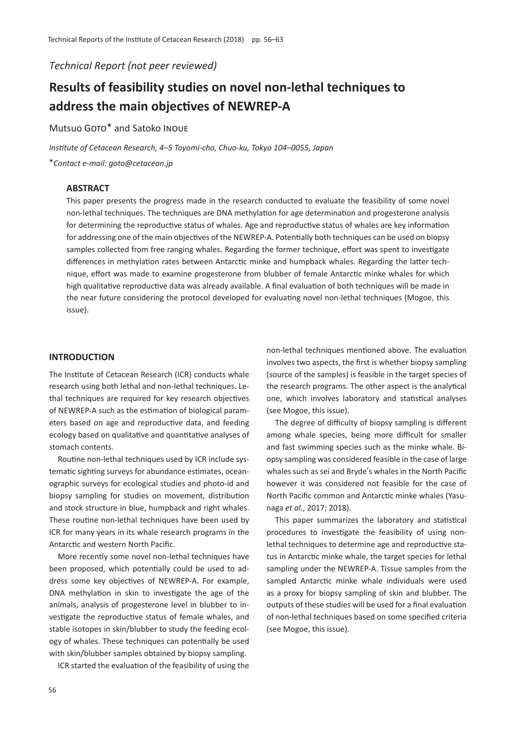*Technical Report (not peer reviewed)*

# **Results of feasibility studies on novel non-lethal techniques to address the main objectives of NEWREP-A**

Mutsuo Goto\* and Satoko Inoue

*Institute of Cetacean Research, 4*–*5 Toyomi-cho, Chuo-ku, Tokyo 104*–*0055, Japan* \**Contact e-mail: goto@cetacean.jp*

## **ABSTRACT**

This paper presents the progress made in the research conducted to evaluate the feasibility of some novel non-lethal techniques. The techniques are DNA methylation for age determination and progesterone analysis for determining the reproductive status of whales. Age and reproductive status of whales are key information for addressing one of the main objectives of the NEWREP-A. Potentially both techniques can be used on biopsy samples collected from free ranging whales. Regarding the former technique, effort was spent to investigate differences in methylation rates between Antarctic minke and humpback whales. Regarding the latter technique, effort was made to examine progesterone from blubber of female Antarctic minke whales for which high qualitative reproductive data was already available. A final evaluation of both techniques will be made in the near future considering the protocol developed for evaluating novel non-lethal techniques (Mogoe, this issue).

## **INTRODUCTION**

The Institute of Cetacean Research (ICR) conducts whale research using both lethal and non-lethal techniques. Lethal techniques are required for key research objectives of NEWREP-A such as the estimation of biological parameters based on age and reproductive data, and feeding ecology based on qualitative and quantitative analyses of stomach contents.

Routine non-lethal techniques used by ICR include systematic sighting surveys for abundance estimates, oceanographic surveys for ecological studies and photo-id and biopsy sampling for studies on movement, distribution and stock structure in blue, humpback and right whales. These routine non-lethal techniques have been used by ICR for many years in its whale research programs in the Antarctic and western North Pacific.

More recently some novel non-lethal techniques have been proposed, which potentially could be used to address some key objectives of NEWREP-A. For example, DNA methylation in skin to investigate the age of the animals, analysis of progesterone level in blubber to investigate the reproductive status of female whales, and stable isotopes in skin/blubber to study the feeding ecology of whales. These techniques can potentially be used with skin/blubber samples obtained by biopsy sampling.

ICR started the evaluation of the feasibility of using the

non-lethal techniques mentioned above. The evaluation involves two aspects, the first is whether biopsy sampling (source of the samples) is feasible in the target species of the research programs. The other aspect is the analytical one, which involves laboratory and statistical analyses (see Mogoe, this issue).

The degree of difficulty of biopsy sampling is different among whale species, being more difficult for smaller and fast swimming species such as the minke whale. Biopsy sampling was considered feasible in the case of large whales such as sei and Bryde's whales in the North Pacific however it was considered not feasible for the case of North Pacific common and Antarctic minke whales (Yasunaga *et al.*, 2017; 2018).

This paper summarizes the laboratory and statistical procedures to investigate the feasibility of using nonlethal techniques to determine age and reproductive status in Antarctic minke whale, the target species for lethal sampling under the NEWREP-A. Tissue samples from the sampled Antarctic minke whale individuals were used as a proxy for biopsy sampling of skin and blubber. The outputs of these studies will be used for a final evaluation of non-lethal techniques based on some specified criteria (see Mogoe, this issue).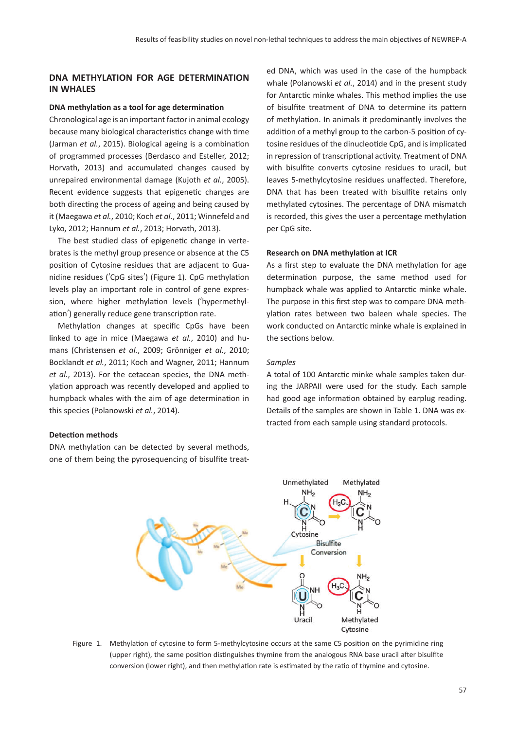# **DNA METHYLATION FOR AGE DETERMINATION IN WHALES**

#### **DNA methylation as a tool for age determination**

Chronological age is an important factor in animal ecology because many biological characteristics change with time (Jarman *et al.*, 2015). Biological ageing is a combination of programmed processes (Berdasco and Esteller, 2012; Horvath, 2013) and accumulated changes caused by unrepaired environmental damage (Kujoth *et al.*, 2005). Recent evidence suggests that epigenetic changes are both directing the process of ageing and being caused by it (Maegawa *et al.*, 2010; Koch *et al.*, 2011; Winnefeld and Lyko, 2012; Hannum *et al.*, 2013; Horvath, 2013).

The best studied class of epigenetic change in vertebrates is the methyl group presence or absence at the C5 position of Cytosine residues that are adjacent to Guanidine residues (ʻCpG sites') (Figure 1). CpG methylation levels play an important role in control of gene expression, where higher methylation levels (ʻhypermethylation') generally reduce gene transcription rate.

Methylation changes at specific CpGs have been linked to age in mice (Maegawa *et al.*, 2010) and humans (Christensen *et al.*, 2009; Grönniger *et al.*, 2010; Bocklandt *et al.*, 2011; Koch and Wagner, 2011; Hannum *et al.*, 2013). For the cetacean species, the DNA methylation approach was recently developed and applied to humpback whales with the aim of age determination in this species (Polanowski *et al.*, 2014).

#### **Detection methods**

DNA methylation can be detected by several methods, one of them being the pyrosequencing of bisulfite treated DNA, which was used in the case of the humpback whale (Polanowski *et al.*, 2014) and in the present study for Antarctic minke whales. This method implies the use of bisulfite treatment of DNA to determine its pattern of methylation. In animals it predominantly involves the addition of a methyl group to the carbon-5 position of cytosine residues of the dinucleotide CpG, and is implicated in repression of transcriptional activity. Treatment of DNA with bisulfite converts cytosine residues to uracil, but leaves 5-methylcytosine residues unaffected. Therefore, DNA that has been treated with bisulfite retains only methylated cytosines. The percentage of DNA mismatch is recorded, this gives the user a percentage methylation per CpG site.

## **Research on DNA methylation at ICR**

As a first step to evaluate the DNA methylation for age determination purpose, the same method used for humpback whale was applied to Antarctic minke whale. The purpose in this first step was to compare DNA methylation rates between two baleen whale species. The work conducted on Antarctic minke whale is explained in the sections below.

#### *Samples*

A total of 100 Antarctic minke whale samples taken during the JARPAII were used for the study. Each sample had good age information obtained by earplug reading. Details of the samples are shown in Table 1. DNA was extracted from each sample using standard protocols.



Figure 1. Methylation of cytosine to form 5-methylcytosine occurs at the same C5 position on the pyrimidine ring (upper right), the same position distinguishes thymine from the analogous RNA base uracil after bisulfite conversion (lower right), and then methylation rate is estimated by the ratio of thymine and cytosine.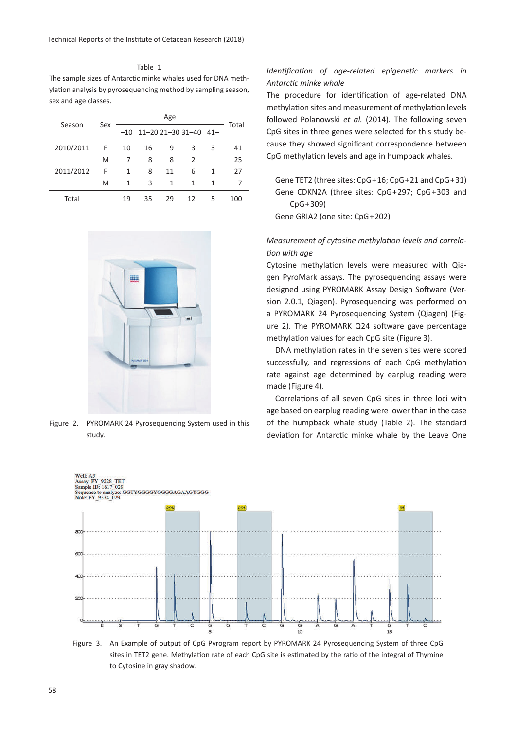Table 1 The sample sizes of Antarctic minke whales used for DNA methylation analysis by pyrosequencing method by sampling season, sex and age classes.

| Season    | Sex | Age   |    |    |                       |   |       |
|-----------|-----|-------|----|----|-----------------------|---|-------|
|           |     | $-10$ |    |    | 11-20 21-30 31-40 41- |   | Total |
| 2010/2011 | F.  | 10    | 16 | 9  | 3                     | 3 | 41    |
|           | M   | 7     | 8  | 8  | 2                     |   | 25    |
| 2011/2012 | F   | 1     | 8  | 11 | 6                     | 1 | 27    |
|           | M   | 1     | 3  | 1  | 1                     | 1 |       |
| Total     |     | 19    | 35 | 29 | 12                    | 5 | 100   |



Figure 2. PYROMARK 24 Pyrosequencing System used in this study.

# *Identification of age-related epigenetic markers in Antarctic minke whale*

The procedure for identification of age-related DNA methylation sites and measurement of methylation levels followed Polanowski *et al.* (2014). The following seven CpG sites in three genes were selected for this study because they showed significant correspondence between CpG methylation levels and age in humpback whales.

Gene TET2 (three sites: CpG+16; CpG+21 and CpG+31) Gene CDKN2A (three sites: CpG+297; CpG+303 and CpG+309)

Gene GRIA2 (one site: CpG+202)

# *Measurement of cytosine methylation levels and correlation with age*

Cytosine methylation levels were measured with Qiagen PyroMark assays. The pyrosequencing assays were designed using PYROMARK Assay Design Software (Version 2.0.1, Qiagen). Pyrosequencing was performed on a PYROMARK 24 Pyrosequencing System (Qiagen) (Figure 2). The PYROMARK Q24 software gave percentage methylation values for each CpG site (Figure 3).

DNA methylation rates in the seven sites were scored successfully, and regressions of each CpG methylation rate against age determined by earplug reading were made (Figure 4).

Correlations of all seven CpG sites in three loci with age based on earplug reading were lower than in the case of the humpback whale study (Table 2). The standard deviation for Antarctic minke whale by the Leave One



Figure 3. An Example of output of CpG Pyrogram report by PYROMARK 24 Pyrosequencing System of three CpG sites in TET2 gene. Methylation rate of each CpG site is estimated by the ratio of the integral of Thymine to Cytosine in gray shadow.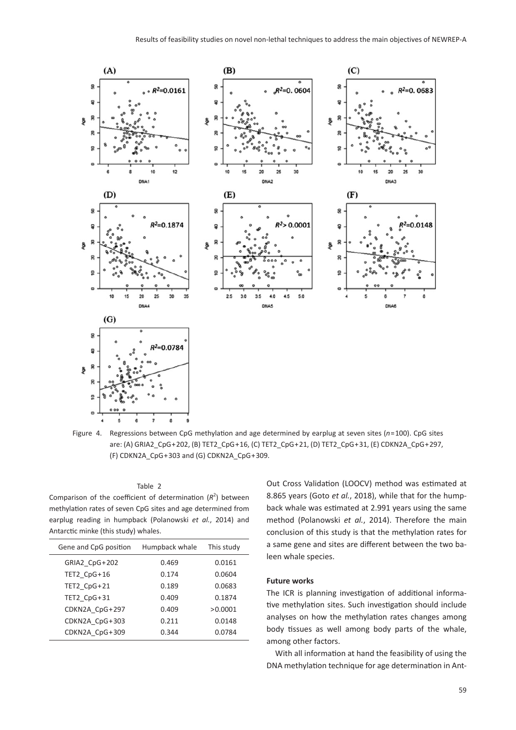

Figure 4. Regressions between CpG methylation and age determined by earplug at seven sites (*n*=100). CpG sites are: (A) GRIA2\_CpG+202, (B) TET2\_CpG+16, (C) TET2\_CpG+21, (D) TET2\_CpG+31, (E) CDKN2A\_CpG+297, (F) CDKN2A\_CpG+303 and (G) CDKN2A\_CpG+309.

#### Table 2

Comparison of the coefficient of determination  $(R^2)$  between methylation rates of seven CpG sites and age determined from earplug reading in humpback (Polanowski *et al.*, 2014) and Antarctic minke (this study) whales.

| Gene and CpG position | Humpback whale | This study |
|-----------------------|----------------|------------|
| GRIA2 CpG+202         | 0.469          | 0.0161     |
| TET2 CpG+16           | 0.174          | 0.0604     |
| TET2 CpG+21           | 0.189          | 0.0683     |
| TET2 CpG+31           | 0.409          | 0.1874     |
| CDKN2A CpG+297        | 0.409          | >0.0001    |
| CDKN2A CpG+303        | 0.211          | 0.0148     |
| CDKN2A CpG+309        | 0.344          | 0.0784     |
|                       |                |            |

Out Cross Validation (LOOCV) method was estimated at 8.865 years (Goto *et al.*, 2018), while that for the humpback whale was estimated at 2.991 years using the same method (Polanowski *et al.*, 2014). Therefore the main conclusion of this study is that the methylation rates for a same gene and sites are different between the two baleen whale species.

#### **Future works**

The ICR is planning investigation of additional informative methylation sites. Such investigation should include analyses on how the methylation rates changes among body tissues as well among body parts of the whale, among other factors.

With all information at hand the feasibility of using the DNA methylation technique for age determination in Ant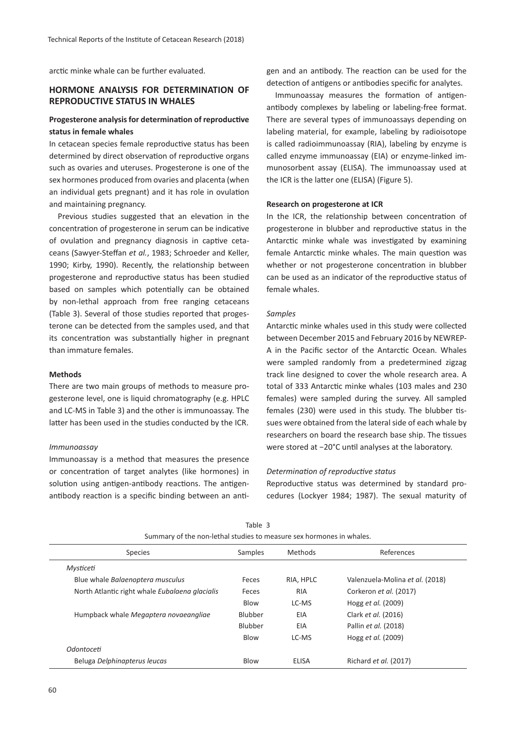arctic minke whale can be further evaluated.

# **HORMONE ANALYSIS FOR DETERMINATION OF REPRODUCTIVE STATUS IN WHALES**

# **Progesterone analysis for determination of reproductive status in female whales**

In cetacean species female reproductive status has been determined by direct observation of reproductive organs such as ovaries and uteruses. Progesterone is one of the sex hormones produced from ovaries and placenta (when an individual gets pregnant) and it has role in ovulation and maintaining pregnancy.

Previous studies suggested that an elevation in the concentration of progesterone in serum can be indicative of ovulation and pregnancy diagnosis in captive cetaceans (Sawyer-Steffan *et al.*, 1983; Schroeder and Keller, 1990; Kirby, 1990). Recently, the relationship between progesterone and reproductive status has been studied based on samples which potentially can be obtained by non-lethal approach from free ranging cetaceans (Table 3). Several of those studies reported that progesterone can be detected from the samples used, and that its concentration was substantially higher in pregnant than immature females.

#### **Methods**

There are two main groups of methods to measure progesterone level, one is liquid chromatography (e.g. HPLC and LC-MS in Table 3) and the other is immunoassay. The latter has been used in the studies conducted by the ICR.

#### *Immunoassay*

Immunoassay is a method that measures the presence or concentration of target analytes (like hormones) in solution using antigen-antibody reactions. The antigenantibody reaction is a specific binding between an antigen and an antibody. The reaction can be used for the detection of antigens or antibodies specific for analytes.

Immunoassay measures the formation of antigenantibody complexes by labeling or labeling-free format. There are several types of immunoassays depending on labeling material, for example, labeling by radioisotope is called radioimmunoassay (RIA), labeling by enzyme is called enzyme immunoassay (EIA) or enzyme-linked immunosorbent assay (ELISA). The immunoassay used at the ICR is the latter one (ELISA) (Figure 5).

## **Research on progesterone at ICR**

In the ICR, the relationship between concentration of progesterone in blubber and reproductive status in the Antarctic minke whale was investigated by examining female Antarctic minke whales. The main question was whether or not progesterone concentration in blubber can be used as an indicator of the reproductive status of female whales.

#### *Samples*

Antarctic minke whales used in this study were collected between December 2015 and February 2016 by NEWREP-A in the Pacific sector of the Antarctic Ocean. Whales were sampled randomly from a predetermined zigzag track line designed to cover the whole research area. A total of 333 Antarctic minke whales (103 males and 230 females) were sampled during the survey. All sampled females (230) were used in this study. The blubber tissues were obtained from the lateral side of each whale by researchers on board the research base ship. The tissues were stored at −20°C until analyses at the laboratory.

#### *Determination of reproductive status*

Reproductive status was determined by standard procedures (Lockyer 1984; 1987). The sexual maturity of

| Summary of the non-lethal studies to measure sex normones in whales. |                |              |                                 |  |
|----------------------------------------------------------------------|----------------|--------------|---------------------------------|--|
| <b>Species</b>                                                       | Samples        | Methods      | References                      |  |
| Mysticeti                                                            |                |              |                                 |  |
| Blue whale Balaenoptera musculus                                     | Feces          | RIA, HPLC    | Valenzuela-Molina et al. (2018) |  |
| North Atlantic right whale Eubalaena glacialis                       | Feces          | RIA          | Corkeron et al. (2017)          |  |
|                                                                      | Blow           | LC-MS        | Hogg et al. (2009)              |  |
| Humpback whale Megaptera novaeangliae                                | <b>Blubber</b> | EIA          | Clark et al. (2016)             |  |
|                                                                      | Blubber        | EIA          | Pallin et al. (2018)            |  |
|                                                                      | Blow           | LC-MS        | Hogg et al. (2009)              |  |
| Odontoceti                                                           |                |              |                                 |  |
| Beluga Delphinapterus leucas                                         | <b>Blow</b>    | <b>ELISA</b> | Richard <i>et al.</i> (2017)    |  |
|                                                                      |                |              |                                 |  |

Table 3 Summary of the non-lethal studies to measure sex hormones in whales.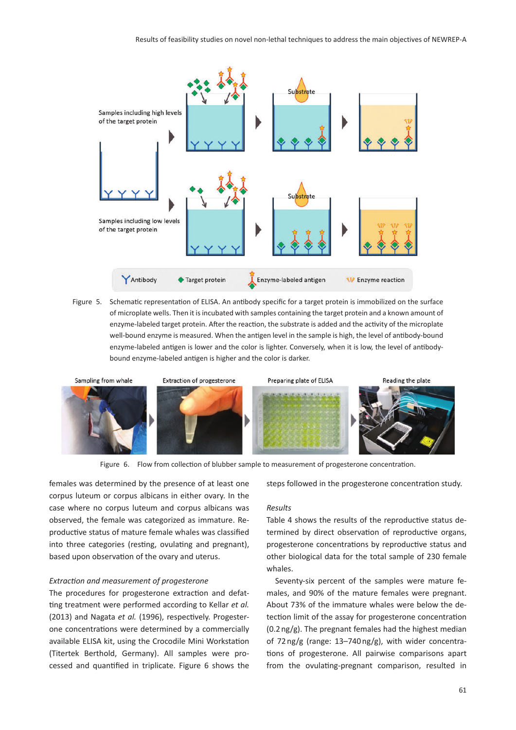

Figure 5. Schematic representation of ELISA. An antibody specific for a target protein is immobilized on the surface of microplate wells. Then it is incubated with samples containing the target protein and a known amount of enzyme-labeled target protein. After the reaction, the substrate is added and the activity of the microplate well-bound enzyme is measured. When the antigen level in the sample is high, the level of antibody-bound enzyme-labeled antigen is lower and the color is lighter. Conversely, when it is low, the level of antibodybound enzyme-labeled antigen is higher and the color is darker.



Figure 6. Flow from collection of blubber sample to measurement of progesterone concentration.

females was determined by the presence of at least one corpus luteum or corpus albicans in either ovary. In the case where no corpus luteum and corpus albicans was observed, the female was categorized as immature. Reproductive status of mature female whales was classified into three categories (resting, ovulating and pregnant), based upon observation of the ovary and uterus.

#### *Extraction and measurement of progesterone*

The procedures for progesterone extraction and defatting treatment were performed according to Kellar *et al.* (2013) and Nagata *et al.* (1996), respectively. Progesterone concentrations were determined by a commercially available ELISA kit, using the Crocodile Mini Workstation (Titertek Berthold, Germany). All samples were processed and quantified in triplicate. Figure 6 shows the

#### steps followed in the progesterone concentration study.

#### *Results*

Table 4 shows the results of the reproductive status determined by direct observation of reproductive organs, progesterone concentrations by reproductive status and other biological data for the total sample of 230 female whales.

Seventy-six percent of the samples were mature females, and 90% of the mature females were pregnant. About 73% of the immature whales were below the detection limit of the assay for progesterone concentration  $(0.2 \text{ ng/g})$ . The pregnant females had the highest median of 72 ng/g (range: 13–740 ng/g), with wider concentrations of progesterone. All pairwise comparisons apart from the ovulating-pregnant comparison, resulted in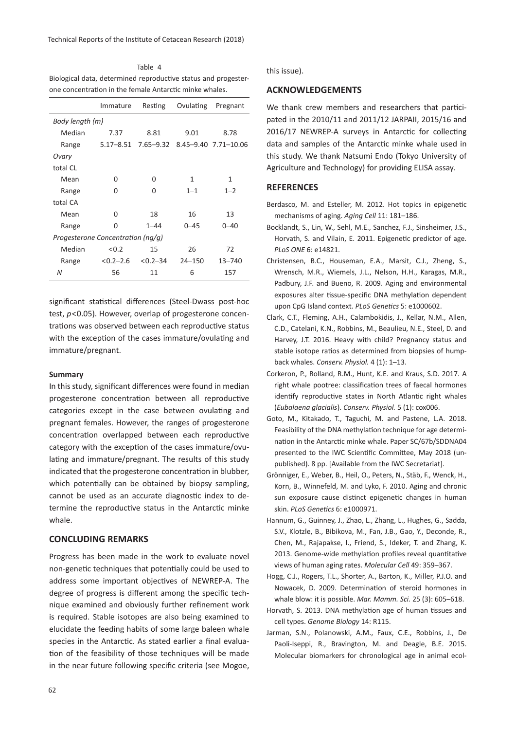Table 4 Biological data, determined reproductive status and progesterone concentration in the female Antarctic minke whales.

|                                   | Immature   | Resting                                  | Ovulating  | Pregnant |  |  |  |
|-----------------------------------|------------|------------------------------------------|------------|----------|--|--|--|
| Body length (m)                   |            |                                          |            |          |  |  |  |
| Median                            | 7.37       | 8.81                                     | 9.01       | 8.78     |  |  |  |
| Range                             |            | 5.17-8.51 7.65-9.32 8.45-9.40 7.71-10.06 |            |          |  |  |  |
| Ovary                             |            |                                          |            |          |  |  |  |
| total CL                          |            |                                          |            |          |  |  |  |
| Mean                              | 0          | 0                                        | 1          | 1        |  |  |  |
| Range                             | 0          | 0                                        | $1 - 1$    | $1 - 2$  |  |  |  |
| total CA                          |            |                                          |            |          |  |  |  |
| Mean                              | O          | 18                                       | 16         | 13       |  |  |  |
| Range                             | 0          | $1 - 44$                                 | $0 - 45$   | $0 - 40$ |  |  |  |
| Progesterone Concentration (ng/g) |            |                                          |            |          |  |  |  |
| Median                            | < 0.2      | 15                                       | 26         | 72       |  |  |  |
| Range                             | $<0.2-2.6$ | $< 0.2 - 34$                             | $24 - 150$ | 13-740   |  |  |  |
| N                                 | 56         | 11                                       | 6          | 157      |  |  |  |

significant statistical differences (Steel-Dwass post-hoc test, *p*<0.05). However, overlap of progesterone concentrations was observed between each reproductive status with the exception of the cases immature/ovulating and immature/pregnant.

#### **Summary**

In this study, significant differences were found in median progesterone concentration between all reproductive categories except in the case between ovulating and pregnant females. However, the ranges of progesterone concentration overlapped between each reproductive category with the exception of the cases immature/ovulating and immature/pregnant. The results of this study indicated that the progesterone concentration in blubber, which potentially can be obtained by biopsy sampling, cannot be used as an accurate diagnostic index to determine the reproductive status in the Antarctic minke whale.

## **CONCLUDING REMARKS**

Progress has been made in the work to evaluate novel non-genetic techniques that potentially could be used to address some important objectives of NEWREP-A. The degree of progress is different among the specific technique examined and obviously further refinement work is required. Stable isotopes are also being examined to elucidate the feeding habits of some large baleen whale species in the Antarctic. As stated earlier a final evaluation of the feasibility of those techniques will be made in the near future following specific criteria (see Mogoe,

this issue).

#### **ACKNOWLEDGEMENTS**

We thank crew members and researchers that participated in the 2010/11 and 2011/12 JARPAII, 2015/16 and 2016/17 NEWREP-A surveys in Antarctic for collecting data and samples of the Antarctic minke whale used in this study. We thank Natsumi Endo (Tokyo University of Agriculture and Technology) for providing ELISA assay.

## **REFERENCES**

- Berdasco, M. and Esteller, M. 2012. Hot topics in epigenetic mechanisms of aging. *Aging Cell* 11: 181–186.
- Bocklandt, S., Lin, W., Sehl, M.E., Sanchez, F.J., Sinsheimer, J.S., Horvath, S. and Vilain, E. 2011. Epigenetic predictor of age. *PLoS ONE* 6: e14821.
- Christensen, B.C., Houseman, E.A., Marsit, C.J., Zheng, S., Wrensch, M.R., Wiemels, J.L., Nelson, H.H., Karagas, M.R., Padbury, J.F. and Bueno, R. 2009. Aging and environmental exposures alter tissue-specific DNA methylation dependent upon CpG Island context. *PLoS Genetics* 5: e1000602.
- Clark, C.T., Fleming, A.H., Calambokidis, J., Kellar, N.M., Allen, C.D., Catelani, K.N., Robbins, M., Beaulieu, N.E., Steel, D. and Harvey, J.T. 2016. Heavy with child? Pregnancy status and stable isotope ratios as determined from biopsies of humpback whales. *Conserv. Physiol.* 4 (1): 1–13.
- Corkeron, P., Rolland, R.M., Hunt, K.E. and Kraus, S.D. 2017. A right whale pootree: classification trees of faecal hormones identify reproductive states in North Atlantic right whales (*Eubalaena glacialis*). *Conserv. Physiol.* 5 (1): cox006.
- Goto, M., Kitakado, T., Taguchi, M. and Pastene, L.A. 2018. Feasibility of the DNA methylation technique for age determination in the Antarctic minke whale. Paper SC/67b/SDDNA04 presented to the IWC Scientific Committee, May 2018 (unpublished). 8 pp. [Available from the IWC Secretariat].
- Grönniger, E., Weber, B., Heil, O., Peters, N., Stäb, F., Wenck, H., Korn, B., Winnefeld, M. and Lyko, F. 2010. Aging and chronic sun exposure cause distinct epigenetic changes in human skin. *PLoS Genetics* 6: e1000971.
- Hannum, G., Guinney, J., Zhao, L., Zhang, L., Hughes, G., Sadda, S.V., Klotzle, B., Bibikova, M., Fan, J.B., Gao, Y., Deconde, R., Chen, M., Rajapakse, I., Friend, S., Ideker, T. and Zhang, K. 2013. Genome-wide methylation profiles reveal quantitative views of human aging rates. *Molecular Cell* 49: 359–367.
- Hogg, C.J., Rogers, T.L., Shorter, A., Barton, K., Miller, P.J.O. and Nowacek, D. 2009. Determination of steroid hormones in whale blow: it is possible. *Mar. Mamm. Sci.* 25 (3): 605–618.
- Horvath, S. 2013. DNA methylation age of human tissues and cell types. *Genome Biology* 14: R115.
- Jarman, S.N., Polanowski, A.M., Faux, C.E., Robbins, J., De Paoli-Iseppi, R., Bravington, M. and Deagle, B.E. 2015. Molecular biomarkers for chronological age in animal ecol-